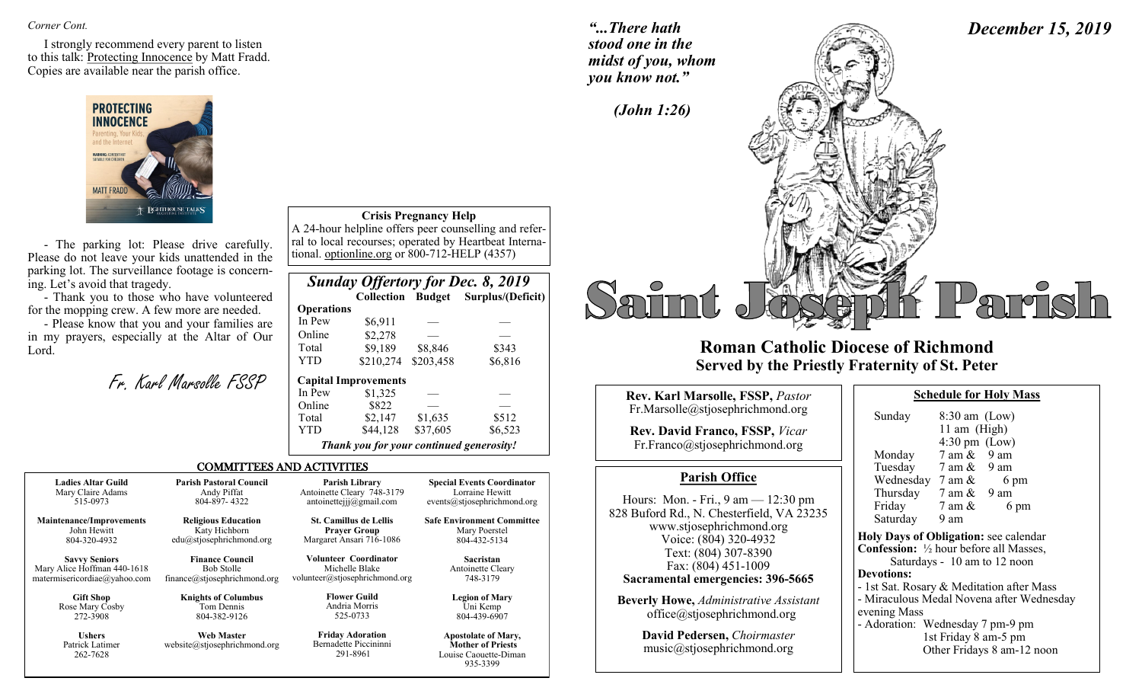*Corner Cont.* 

I strongly recommend every parent to listen to this talk: Protecting Innocence by Matt Fradd. Copies are available near the parish office.



- The parking lot: Please drive carefully. Please do not leave your kids unattended in the parking lot. The surveillance footage is concerning. Let's avoid that tragedy.

- Thank you to those who have volunteered for the mopping crew. A few more are needed.

- Please know that you and your families are in my prayers, especially at the Altar of Our Lord.

| Fr. Karl Marsolle FSSP |  |
|------------------------|--|
|                        |  |

| <b>Crisis Pregnancy Help</b>                          |
|-------------------------------------------------------|
| A 24-hour helpline offers peer counselling and refer- |
| rel to local resources: energied by Heartboot Interna |

ral to local recourses; operated by Heartbeat International. optionline.org or 800-712-HELP (4357)

|                   |                                          |           | <b>Sunday Offertory for Dec. 8, 2019</b> |
|-------------------|------------------------------------------|-----------|------------------------------------------|
|                   |                                          |           | Collection Budget Surplus/(Deficit)      |
| <b>Operations</b> |                                          |           |                                          |
| In Pew            | \$6,911                                  |           |                                          |
| Online            | \$2,278                                  |           |                                          |
| Total             | \$9,189                                  | \$8,846   | \$343                                    |
| <b>YTD</b>        | \$210,274                                | \$203,458 | \$6,816                                  |
|                   | <b>Capital Improvements</b>              |           |                                          |
| In Pew            | \$1,325                                  |           |                                          |
| Online            | \$822                                    |           |                                          |
| Total             | \$2,147                                  | \$1,635   | \$512                                    |
| YTD               | \$44,128                                 | \$37,605  | \$6,523                                  |
|                   | Thank you for your continued generosity! |           |                                          |

Louise Caouette-Diman 935-3399

#### COMMITTEES AND ACTIVITIES

| <b>Ladies Altar Guild</b>                    | <b>Parish Pastoral Council</b>                    | <b>Parish Library</b>                                        | <b>Special Events Coordinator</b>                                               |
|----------------------------------------------|---------------------------------------------------|--------------------------------------------------------------|---------------------------------------------------------------------------------|
| Mary Claire Adams                            | Andy Piffat                                       | Antoinette Cleary 748-3179                                   | Lorraine Hewitt                                                                 |
| 515-0973                                     | 804-897-4322                                      | antoinettejjj@gmail.com                                      | events@stjosephrichmond.org                                                     |
| <b>Maintenance/Improvements</b>              | <b>Religious Education</b>                        | <b>St. Camillus de Lellis</b>                                | <b>Safe Environment Committee</b>                                               |
| John Hewitt                                  | Katy Hichborn                                     | <b>Prayer Group</b>                                          | Mary Poerstel                                                                   |
| 804-320-4932                                 | edu@stjosephrichmond.org                          | Margaret Ansari 716-1086                                     | 804-432-5134                                                                    |
| <b>Savvy Seniors</b>                         | <b>Finance Council</b>                            | <b>Volunteer Coordinator</b>                                 | Sacristan                                                                       |
| Mary Alice Hoffman 440-1618                  | <b>Bob Stolle</b>                                 | Michelle Blake                                               | Antoinette Cleary                                                               |
| matermisericordiae@yahoo.com                 | finance@stjosephrichmond.org                      | volunteer@stjosephrichmond.org                               | 748-3179                                                                        |
| <b>Gift Shop</b>                             | <b>Knights of Columbus</b>                        | <b>Flower Guild</b>                                          | <b>Legion of Mary</b>                                                           |
| Rose Mary Cosby                              | Tom Dennis                                        | Andria Morris                                                | Uni Kemp                                                                        |
| 272-3908                                     | 804-382-9126                                      | 525-0733                                                     | 804-439-6907                                                                    |
| <b>Ushers</b><br>Patrick Latimer<br>262-7628 | <b>Web Master</b><br>website@stjosephrichmond.org | <b>Friday Adoration</b><br>Bernadette Piccininni<br>291-8961 | <b>Apostolate of Mary,</b><br><b>Mother of Priests</b><br>Louise Caouette-Diman |

*"...There hath stood one in the midst of you, whom you know not."*

*December 15, 2019*



## **Roman Catholic Diocese of Richmond Served by the Priestly Fraternity of St. Peter**

| Rev. Karl Marsolle, FSSP, Pastor                                                                     |  |                                                                                                                               | <b>Schedule for Holy I</b>                                             |                        |
|------------------------------------------------------------------------------------------------------|--|-------------------------------------------------------------------------------------------------------------------------------|------------------------------------------------------------------------|------------------------|
| Fr.Marsolle@stjosephrichmond.org<br>Rev. David Franco, FSSP, Vicar<br>Fr.Franco@stjosephrichmond.org |  | Sunday<br>Monday                                                                                                              | $8:30$ am (Low)<br>11 am $(High)$<br>$4:30 \text{ pm}$ (Low)<br>7 am & | 9 am                   |
| <b>Parish Office</b>                                                                                 |  | Tuesday $7 \text{ am } \&$<br>Wednesday $7 \text{ am } \&$                                                                    |                                                                        | 9 am<br>6 <sub>1</sub> |
| Hours: Mon. - Fri., $9 \text{ am} - 12:30 \text{ pm}$<br>828 Buford Rd., N. Chesterfield, VA 23235   |  | Thursday $7 \text{ am } \& 9 \text{ am}$<br>Friday<br>Saturday                                                                | 7 am &<br>9 am                                                         | $6^{\circ}$            |
| www.stjosephrichmond.org<br>Voice: (804) 320-4932<br>Text: (804) 307-8390<br>Fax: (804) 451-1009     |  | <b>Holy Days of Obligation: see called</b><br><b>Confession:</b> $\frac{1}{2}$ hour before all M<br>Saturdays - 10 am to 12 n |                                                                        |                        |
| Sacramental emergencies: 396-5665                                                                    |  | <b>Devotions:</b><br>- 1st Sat. Rosary & Meditation af                                                                        |                                                                        |                        |
| <b>Beverly Howe, Administrative Assistant</b><br>office@stjosephrichmond.org                         |  | - Miraculous Medal Novena after<br>evening Mass                                                                               |                                                                        |                        |
| <b>David Pedersen.</b> Choirmaster                                                                   |  | - Adoration: Wednesday 7 pm-9                                                                                                 | 1st Friday 8 am-5 n                                                    |                        |

music@stjosephrichmond.org

| 11 am (High)                                             |                                 |                              |  |  |
|----------------------------------------------------------|---------------------------------|------------------------------|--|--|
|                                                          | $4:30 \text{ pm}$ (Low)         |                              |  |  |
| Monday                                                   | $7 \text{ am } \& 9 \text{ am}$ |                              |  |  |
| Tuesday                                                  | 7 am & 9 am                     |                              |  |  |
| Wednesday $7 \text{ am } \&$                             |                                 | 6 pm                         |  |  |
| Thursday $7 \text{ am } \& 9 \text{ am}$                 |                                 |                              |  |  |
| Friday                                                   | 7 am &                          | 6 pm                         |  |  |
| Saturday                                                 | 9 am                            |                              |  |  |
| Holy Days of Obligation: see calendar                    |                                 |                              |  |  |
| <b>Confession:</b> $\frac{1}{2}$ hour before all Masses, |                                 |                              |  |  |
|                                                          |                                 | Saturdays - 10 am to 12 noon |  |  |
| <b>Devotions:</b>                                        |                                 |                              |  |  |
| - 1st Sat. Rosary & Meditation after Mass                |                                 |                              |  |  |
| - Miraculous Medal Novena after Wednesday                |                                 |                              |  |  |
| evening Mass                                             |                                 |                              |  |  |
| - Adoration: Wednesday 7 pm-9 pm                         |                                 |                              |  |  |
| 1st Friday 8 am-5 pm                                     |                                 |                              |  |  |
|                                                          |                                 | Other Fridays 8 am-12 noon   |  |  |
|                                                          |                                 |                              |  |  |

**Schedule for Holy Mass**